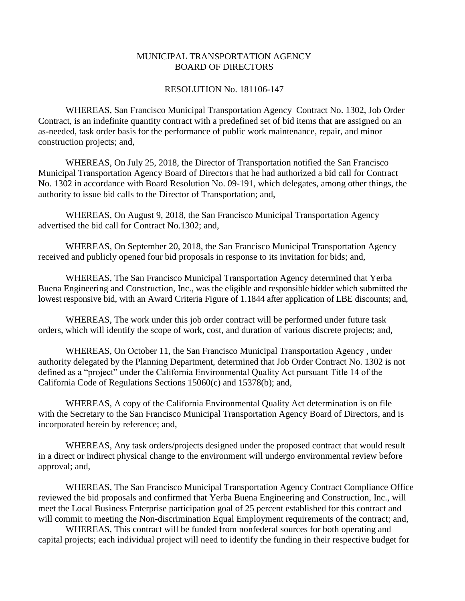## MUNICIPAL TRANSPORTATION AGENCY BOARD OF DIRECTORS

## RESOLUTION No. 181106-147

WHEREAS, San Francisco Municipal Transportation Agency Contract No. 1302, Job Order Contract, is an indefinite quantity contract with a predefined set of bid items that are assigned on an as-needed, task order basis for the performance of public work maintenance, repair, and minor construction projects; and,

WHEREAS, On July 25, 2018, the Director of Transportation notified the San Francisco Municipal Transportation Agency Board of Directors that he had authorized a bid call for Contract No. 1302 in accordance with Board Resolution No. 09-191, which delegates, among other things, the authority to issue bid calls to the Director of Transportation; and,

WHEREAS, On August 9, 2018, the San Francisco Municipal Transportation Agency advertised the bid call for Contract No.1302; and,

WHEREAS, On September 20, 2018, the San Francisco Municipal Transportation Agency received and publicly opened four bid proposals in response to its invitation for bids; and,

WHEREAS, The San Francisco Municipal Transportation Agency determined that Yerba Buena Engineering and Construction, Inc., was the eligible and responsible bidder which submitted the lowest responsive bid, with an Award Criteria Figure of 1.1844 after application of LBE discounts; and,

WHEREAS, The work under this job order contract will be performed under future task orders, which will identify the scope of work, cost, and duration of various discrete projects; and,

WHEREAS, On October 11, the San Francisco Municipal Transportation Agency , under authority delegated by the Planning Department, determined that Job Order Contract No. 1302 is not defined as a "project" under the California Environmental Quality Act pursuant Title 14 of the California Code of Regulations Sections 15060(c) and 15378(b); and,

WHEREAS, A copy of the California Environmental Quality Act determination is on file with the Secretary to the San Francisco Municipal Transportation Agency Board of Directors, and is incorporated herein by reference; and,

WHEREAS, Any task orders/projects designed under the proposed contract that would result in a direct or indirect physical change to the environment will undergo environmental review before approval; and,

WHEREAS, The San Francisco Municipal Transportation Agency Contract Compliance Office reviewed the bid proposals and confirmed that Yerba Buena Engineering and Construction, Inc., will meet the Local Business Enterprise participation goal of 25 percent established for this contract and will commit to meeting the Non-discrimination Equal Employment requirements of the contract; and,

WHEREAS, This contract will be funded from nonfederal sources for both operating and capital projects; each individual project will need to identify the funding in their respective budget for